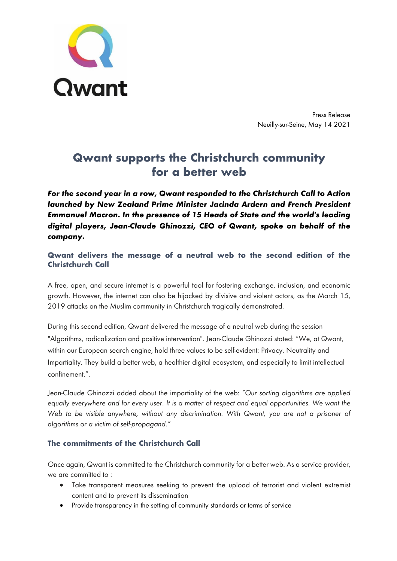

Press Release Neuilly-sur-Seine, May 14 2021

# **Qwant supports the Christchurch community for a better web**

*For the second year in a row, Qwant responded to the Christchurch Call to Action launched by New Zealand Prime Minister Jacinda Ardern and French President Emmanuel Macron. In the presence of 15 Heads of State and the world's leading digital players, Jean-Claude Ghinozzi, CEO of Qwant, spoke on behalf of the company.*

## **Qwant delivers the message of a neutral web to the second edition of the Christchurch Call**

A free, open, and secure internet is a powerful tool for fostering exchange, inclusion, and economic growth. However, the internet can also be hijacked by divisive and violent actors, as the March 15, 2019 attacks on the Muslim community in Christchurch tragically demonstrated.

During this second edition, Qwant delivered the message of a neutral web during the session "Algorithms, radicalization and positive intervention". Jean-Claude Ghinozzi stated: "We, at Qwant, within our European search engine, hold three values to be self-evident: Privacy, Neutrality and Impartiality. They build a better web, a healthier digital ecosystem, and especially to limit intellectual confinement.".

Jean-Claude Ghinozzi added about the impartiality of the web: *"Our sorting algorithms are applied*  equally everywhere and for every user. It is a matter of respect and equal opportunities. We want the *Web to be visible anywhere, without any discrimination. With Qwant, you are not a prisoner of algorithms or a victim of self-propagand."*

## **The commitments of the Christchurch Call**

Once again, Qwant is committed to the Christchurch community for a better web. As a service provider, we are committed to :

- Take transparent measures seeking to prevent the upload of terrorist and violent extremist content and to prevent its dissemination
- Provide transparency in the setting of community standards or terms of service